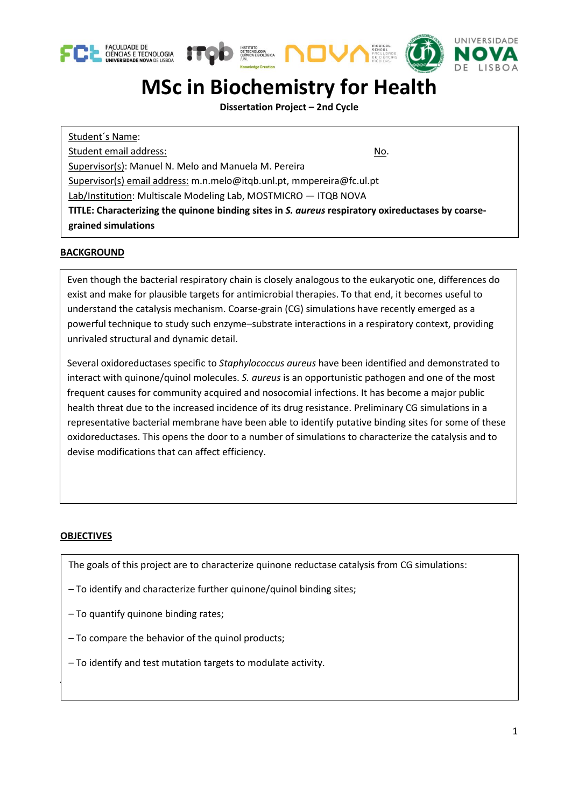





## **MSc in Biochemistry for Health**

**Dissertation Project – 2nd Cycle**

Student´s Name: Student email address: No. 1999 No. 1999 No. 1999 No. 1999 No. 1999 No. 1999 No. 1999 No. 1999 No. 1999 No. 1999 No. 1999 No. 1999 No. 1999 No. 1999 No. 1999 No. 1999 No. 1999 No. 1999 No. 1999 No. 1999 No. 1999 No. 1999 N Supervisor(s): Manuel N. Melo and Manuela M. Pereira Supervisor(s) email address: m.n.melo@itqb.unl.pt, mmpereira@fc.ul.pt Lab/Institution: Multiscale Modeling Lab, MOSTMICRO — ITQB NOVA **TITLE: Characterizing the quinone binding sites in** *S. aureus* **respiratory oxireductases by coarsegrained simulations**

## **BACKGROUND**

Even though the bacterial respiratory chain is closely analogous to the eukaryotic one, differences do exist and make for plausible targets for antimicrobial therapies. To that end, it becomes useful to understand the catalysis mechanism. Coarse-grain (CG) simulations have recently emerged as a powerful technique to study such enzyme–substrate interactions in a respiratory context, providing unrivaled structural and dynamic detail.

Several oxidoreductases specific to *Staphylococcus aureus* have been identified and demonstrated to interact with quinone/quinol molecules. *S. aureus* is an opportunistic pathogen and one of the most frequent causes for community acquired and nosocomial infections. It has become a major public health threat due to the increased incidence of its drug resistance. Preliminary CG simulations in a representative bacterial membrane have been able to identify putative binding sites for some of these oxidoreductases. This opens the door to a number of simulations to characterize the catalysis and to devise modifications that can affect efficiency.

## **OBJECTIVES**

The goals of this project are to characterize quinone reductase catalysis from CG simulations:

- To identify and characterize further quinone/quinol binding sites;
- To quantify quinone binding rates;

**PROJECT DESCRIPTION**

- To compare the behavior of the quinol products;
- To identify and test mutation targets to modulate activity.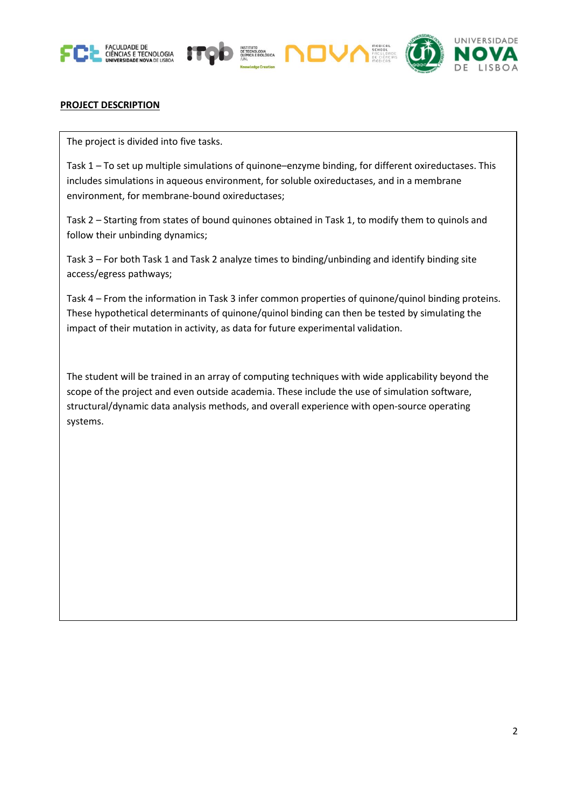





## **PROJECT DESCRIPTION**

The project is divided into five tasks.

Task 1 – To set up multiple simulations of quinone–enzyme binding, for different oxireductases. This includes simulations in aqueous environment, for soluble oxireductases, and in a membrane environment, for membrane-bound oxireductases;

Task 2 – Starting from states of bound quinones obtained in Task 1, to modify them to quinols and follow their unbinding dynamics;

Task 3 – For both Task 1 and Task 2 analyze times to binding/unbinding and identify binding site access/egress pathways;

Task 4 – From the information in Task 3 infer common properties of quinone/quinol binding proteins. These hypothetical determinants of quinone/quinol binding can then be tested by simulating the impact of their mutation in activity, as data for future experimental validation.

The student will be trained in an array of computing techniques with wide applicability beyond the scope of the project and even outside academia. These include the use of simulation software, structural/dynamic data analysis methods, and overall experience with open-source operating systems.